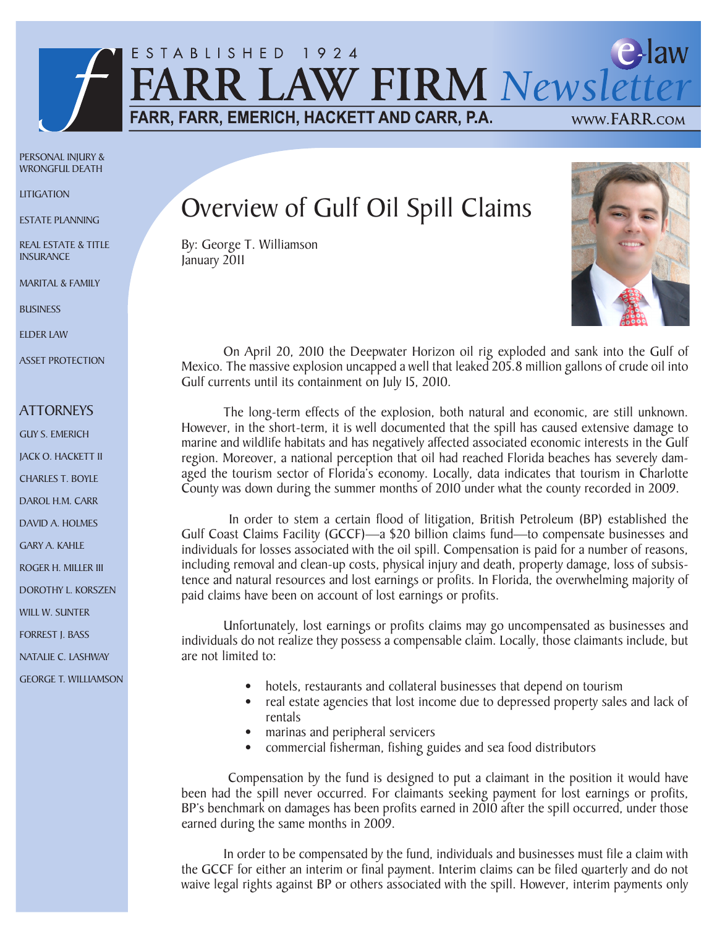

PERSONAL INJURY & WRONGFUL DEATH

**LITIGATION** 

ESTATE PLANNING

REAL ESTATE & TITLE **INSURANCE** 

MARITAL & FAMILY

**BUSINESS** 

ELDER LAW

ASSET PROTECTION

## **ATTORNEYS**

- GUY S. EMERICH
- JACK O. HACKETT II
- CHARLES T. BOYLE
- DAROL H.M. CARR
- DAVID A. HOLMES
- GARY A. KAHLE
- ROGER H. MILLER III
- DOROTHY L. KORSZEN

WILL W. SUNTER

FORREST J. BASS

NATALIE C. LASHWAY

GEORGE T. WILLIAMSON

## Overview of Gulf Oil Spill Claims

By: George T. Williamson January 2011



On April 20, 2010 the Deepwater Horizon oil rig exploded and sank into the Gulf of Mexico. The massive explosion uncapped a well that leaked 205.8 million gallons of crude oil into Gulf currents until its containment on July 15, 2010.

The long-term effects of the explosion, both natural and economic, are still unknown. However, in the short-term, it is well documented that the spill has caused extensive damage to marine and wildlife habitats and has negatively affected associated economic interests in the Gulf region. Moreover, a national perception that oil had reached Florida beaches has severely damaged the tourism sector of Florida's economy. Locally, data indicates that tourism in Charlotte County was down during the summer months of 2010 under what the county recorded in 2009.

 In order to stem a certain flood of litigation, British Petroleum (BP) established the Gulf Coast Claims Facility (GCCF)—a \$20 billion claims fund—to compensate businesses and individuals for losses associated with the oil spill. Compensation is paid for a number of reasons, including removal and clean-up costs, physical injury and death, property damage, loss of subsistence and natural resources and lost earnings or profits. In Florida, the overwhelming majority of paid claims have been on account of lost earnings or profits.

Unfortunately, lost earnings or profits claims may go uncompensated as businesses and individuals do not realize they possess a compensable claim. Locally, those claimants include, but are not limited to:

- hotels, restaurants and collateral businesses that depend on tourism
- real estate agencies that lost income due to depressed property sales and lack of rentals
- marinas and peripheral servicers
- commercial fisherman, fishing guides and sea food distributors

 Compensation by the fund is designed to put a claimant in the position it would have been had the spill never occurred. For claimants seeking payment for lost earnings or profits, BP's benchmark on damages has been profits earned in 2010 after the spill occurred, under those earned during the same months in 2009.

In order to be compensated by the fund, individuals and businesses must file a claim with the GCCF for either an interim or final payment. Interim claims can be filed quarterly and do not waive legal rights against BP or others associated with the spill. However, interim payments only